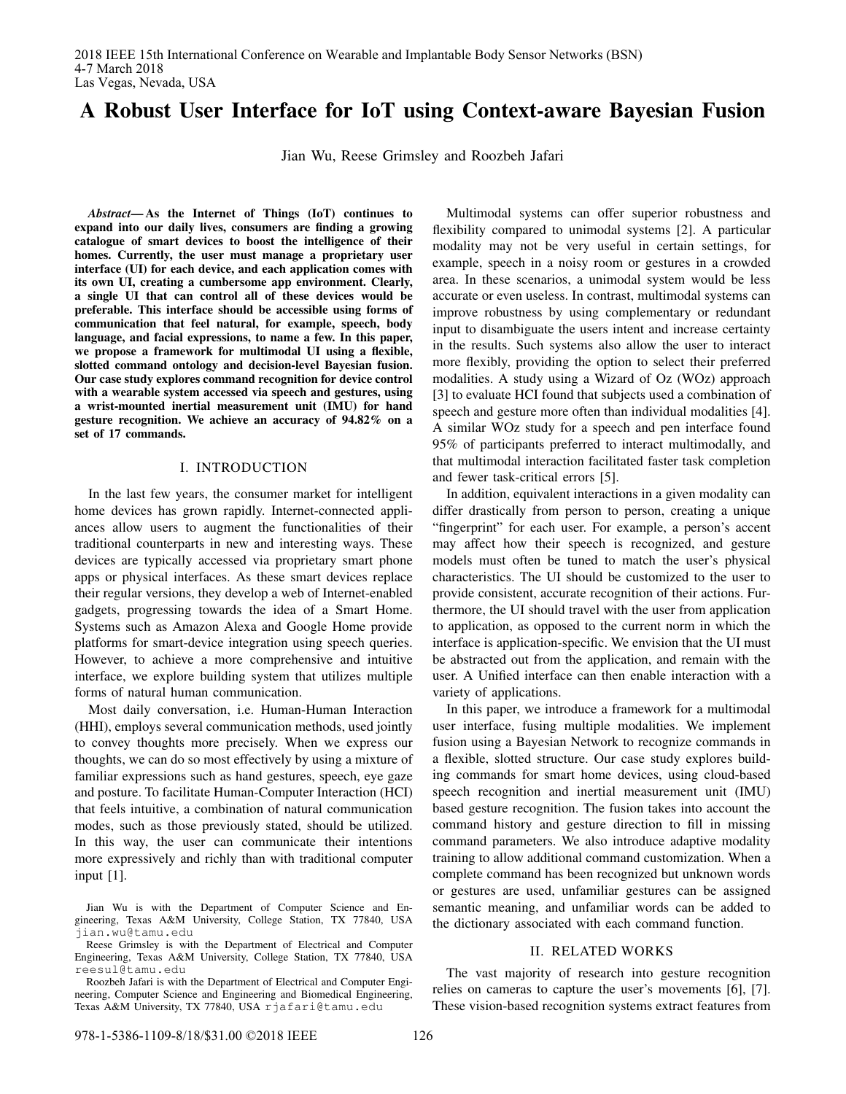# A Robust User Interface for IoT using Context-aware Bayesian Fusion

Jian Wu, Reese Grimsley and Roozbeh Jafari

*Abstract*— As the Internet of Things (IoT) continues to expand into our daily lives, consumers are finding a growing catalogue of smart devices to boost the intelligence of their homes. Currently, the user must manage a proprietary user interface (UI) for each device, and each application comes with its own UI, creating a cumbersome app environment. Clearly, a single UI that can control all of these devices would be preferable. This interface should be accessible using forms of communication that feel natural, for example, speech, body language, and facial expressions, to name a few. In this paper, we propose a framework for multimodal UI using a flexible, slotted command ontology and decision-level Bayesian fusion. Our case study explores command recognition for device control with a wearable system accessed via speech and gestures, using a wrist-mounted inertial measurement unit (IMU) for hand gesture recognition. We achieve an accuracy of 94.82% on a set of 17 commands.

## I. INTRODUCTION

In the last few years, the consumer market for intelligent home devices has grown rapidly. Internet-connected appliances allow users to augment the functionalities of their traditional counterparts in new and interesting ways. These devices are typically accessed via proprietary smart phone apps or physical interfaces. As these smart devices replace their regular versions, they develop a web of Internet-enabled gadgets, progressing towards the idea of a Smart Home. Systems such as Amazon Alexa and Google Home provide platforms for smart-device integration using speech queries. However, to achieve a more comprehensive and intuitive interface, we explore building system that utilizes multiple forms of natural human communication.

Most daily conversation, i.e. Human-Human Interaction (HHI), employs several communication methods, used jointly to convey thoughts more precisely. When we express our thoughts, we can do so most effectively by using a mixture of familiar expressions such as hand gestures, speech, eye gaze and posture. To facilitate Human-Computer Interaction (HCI) that feels intuitive, a combination of natural communication modes, such as those previously stated, should be utilized. In this way, the user can communicate their intentions more expressively and richly than with traditional computer input [1].

Multimodal systems can offer superior robustness and flexibility compared to unimodal systems [2]. A particular modality may not be very useful in certain settings, for example, speech in a noisy room or gestures in a crowded area. In these scenarios, a unimodal system would be less accurate or even useless. In contrast, multimodal systems can improve robustness by using complementary or redundant input to disambiguate the users intent and increase certainty in the results. Such systems also allow the user to interact more flexibly, providing the option to select their preferred modalities. A study using a Wizard of Oz (WOz) approach [3] to evaluate HCI found that subjects used a combination of speech and gesture more often than individual modalities [4]. A similar WOz study for a speech and pen interface found 95% of participants preferred to interact multimodally, and that multimodal interaction facilitated faster task completion and fewer task-critical errors [5].

In addition, equivalent interactions in a given modality can differ drastically from person to person, creating a unique "fingerprint" for each user. For example, a person's accent may affect how their speech is recognized, and gesture models must often be tuned to match the user's physical characteristics. The UI should be customized to the user to provide consistent, accurate recognition of their actions. Furthermore, the UI should travel with the user from application to application, as opposed to the current norm in which the interface is application-specific. We envision that the UI must be abstracted out from the application, and remain with the user. A Unified interface can then enable interaction with a variety of applications.

In this paper, we introduce a framework for a multimodal user interface, fusing multiple modalities. We implement fusion using a Bayesian Network to recognize commands in a flexible, slotted structure. Our case study explores building commands for smart home devices, using cloud-based speech recognition and inertial measurement unit (IMU) based gesture recognition. The fusion takes into account the command history and gesture direction to fill in missing command parameters. We also introduce adaptive modality training to allow additional command customization. When a complete command has been recognized but unknown words or gestures are used, unfamiliar gestures can be assigned semantic meaning, and unfamiliar words can be added to the dictionary associated with each command function.

### II. RELATED WORKS

The vast majority of research into gesture recognition relies on cameras to capture the user's movements [6], [7]. These vision-based recognition systems extract features from

Jian Wu is with the Department of Computer Science and Engineering, Texas A&M University, College Station, TX 77840, USA jian.wu@tamu.edu

Reese Grimsley is with the Department of Electrical and Computer Engineering, Texas A&M University, College Station, TX 77840, USA reesul@tamu.edu

Roozbeh Jafari is with the Department of Electrical and Computer Engineering, Computer Science and Engineering and Biomedical Engineering, Texas A&M University, TX 77840, USA rjafari@tamu.edu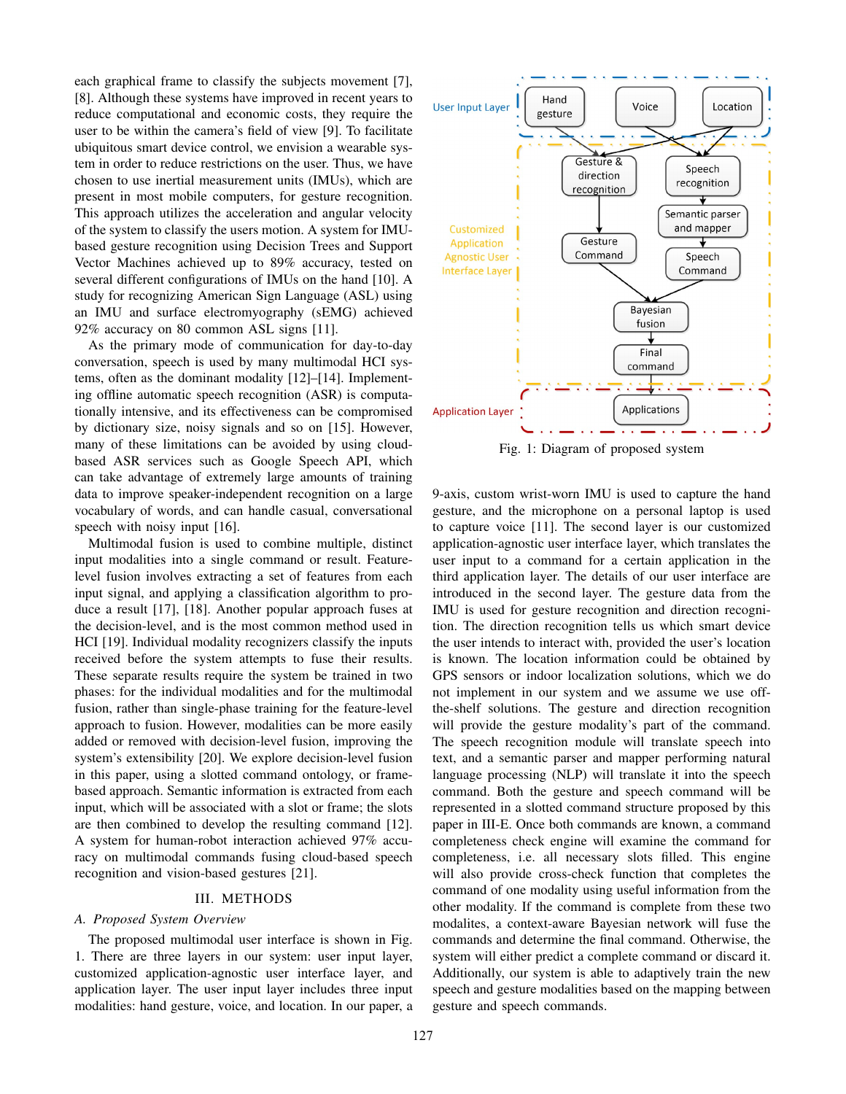each graphical frame to classify the subjects movement [7], [8]. Although these systems have improved in recent years to reduce computational and economic costs, they require the user to be within the camera's field of view [9]. To facilitate ubiquitous smart device control, we envision a wearable system in order to reduce restrictions on the user. Thus, we have chosen to use inertial measurement units (IMUs), which are present in most mobile computers, for gesture recognition. This approach utilizes the acceleration and angular velocity of the system to classify the users motion. A system for IMUbased gesture recognition using Decision Trees and Support Vector Machines achieved up to 89% accuracy, tested on several different configurations of IMUs on the hand [10]. A study for recognizing American Sign Language (ASL) using an IMU and surface electromyography (sEMG) achieved 92% accuracy on 80 common ASL signs [11].

As the primary mode of communication for day-to-day conversation, speech is used by many multimodal HCI systems, often as the dominant modality [12]–[14]. Implementing offline automatic speech recognition (ASR) is computationally intensive, and its effectiveness can be compromised by dictionary size, noisy signals and so on [15]. However, many of these limitations can be avoided by using cloudbased ASR services such as Google Speech API, which can take advantage of extremely large amounts of training data to improve speaker-independent recognition on a large vocabulary of words, and can handle casual, conversational speech with noisy input [16].

Multimodal fusion is used to combine multiple, distinct input modalities into a single command or result. Featurelevel fusion involves extracting a set of features from each input signal, and applying a classification algorithm to produce a result [17], [18]. Another popular approach fuses at the decision-level, and is the most common method used in HCI [19]. Individual modality recognizers classify the inputs received before the system attempts to fuse their results. These separate results require the system be trained in two phases: for the individual modalities and for the multimodal fusion, rather than single-phase training for the feature-level approach to fusion. However, modalities can be more easily added or removed with decision-level fusion, improving the system's extensibility [20]. We explore decision-level fusion in this paper, using a slotted command ontology, or framebased approach. Semantic information is extracted from each input, which will be associated with a slot or frame; the slots are then combined to develop the resulting command [12]. A system for human-robot interaction achieved 97% accuracy on multimodal commands fusing cloud-based speech recognition and vision-based gestures [21].

# III. METHODS

## *A. Proposed System Overview*

The proposed multimodal user interface is shown in Fig. 1. There are three layers in our system: user input layer, customized application-agnostic user interface layer, and application layer. The user input layer includes three input modalities: hand gesture, voice, and location. In our paper, a



Fig. 1: Diagram of proposed system

9-axis, custom wrist-worn IMU is used to capture the hand gesture, and the microphone on a personal laptop is used to capture voice [11]. The second layer is our customized application-agnostic user interface layer, which translates the user input to a command for a certain application in the third application layer. The details of our user interface are introduced in the second layer. The gesture data from the IMU is used for gesture recognition and direction recognition. The direction recognition tells us which smart device the user intends to interact with, provided the user's location is known. The location information could be obtained by GPS sensors or indoor localization solutions, which we do not implement in our system and we assume we use offthe-shelf solutions. The gesture and direction recognition will provide the gesture modality's part of the command. The speech recognition module will translate speech into text, and a semantic parser and mapper performing natural language processing (NLP) will translate it into the speech command. Both the gesture and speech command will be represented in a slotted command structure proposed by this paper in III-E. Once both commands are known, a command completeness check engine will examine the command for completeness, i.e. all necessary slots filled. This engine will also provide cross-check function that completes the command of one modality using useful information from the other modality. If the command is complete from these two modalites, a context-aware Bayesian network will fuse the commands and determine the final command. Otherwise, the system will either predict a complete command or discard it. Additionally, our system is able to adaptively train the new speech and gesture modalities based on the mapping between gesture and speech commands.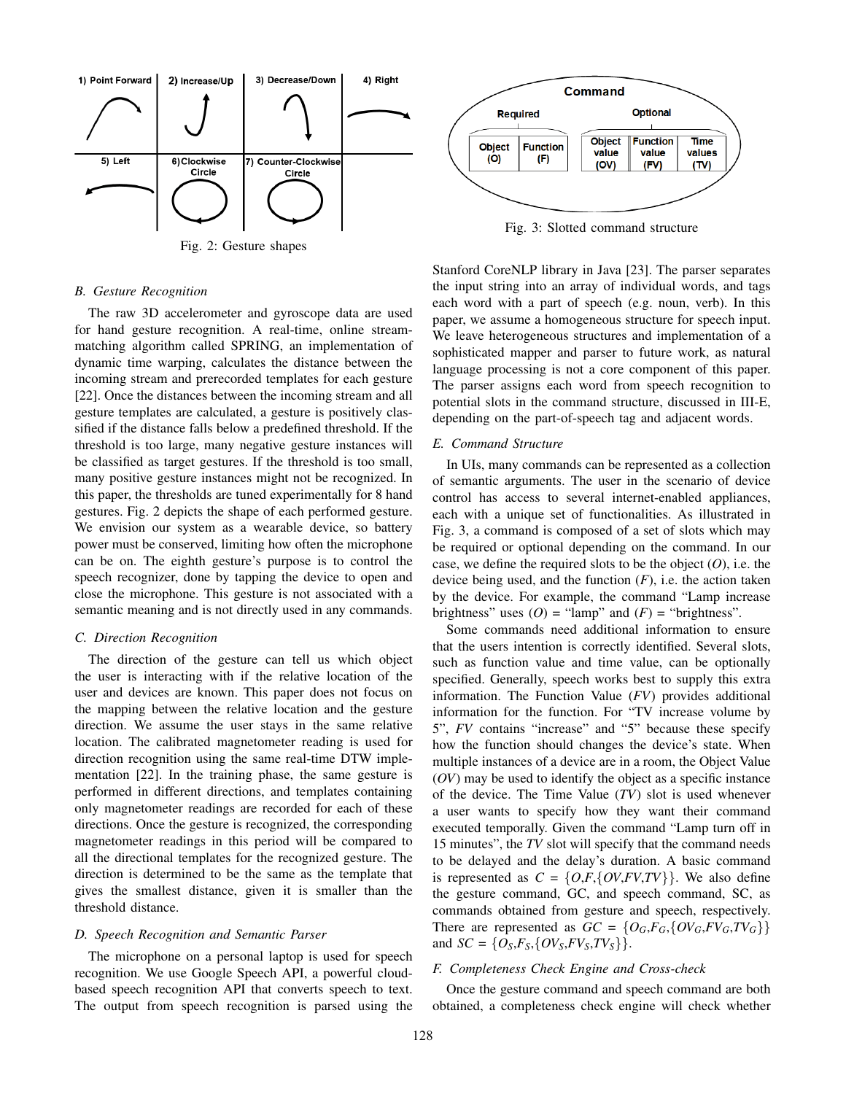

Fig. 2: Gesture shapes

### *B. Gesture Recognition*

The raw 3D accelerometer and gyroscope data are used for hand gesture recognition. A real-time, online streammatching algorithm called SPRING, an implementation of dynamic time warping, calculates the distance between the incoming stream and prerecorded templates for each gesture [22]. Once the distances between the incoming stream and all gesture templates are calculated, a gesture is positively classified if the distance falls below a predefined threshold. If the threshold is too large, many negative gesture instances will be classified as target gestures. If the threshold is too small, many positive gesture instances might not be recognized. In this paper, the thresholds are tuned experimentally for 8 hand gestures. Fig. 2 depicts the shape of each performed gesture. We envision our system as a wearable device, so battery power must be conserved, limiting how often the microphone can be on. The eighth gesture's purpose is to control the speech recognizer, done by tapping the device to open and close the microphone. This gesture is not associated with a semantic meaning and is not directly used in any commands.

## *C. Direction Recognition*

The direction of the gesture can tell us which object the user is interacting with if the relative location of the user and devices are known. This paper does not focus on the mapping between the relative location and the gesture direction. We assume the user stays in the same relative location. The calibrated magnetometer reading is used for direction recognition using the same real-time DTW implementation [22]. In the training phase, the same gesture is performed in different directions, and templates containing only magnetometer readings are recorded for each of these directions. Once the gesture is recognized, the corresponding magnetometer readings in this period will be compared to all the directional templates for the recognized gesture. The direction is determined to be the same as the template that gives the smallest distance, given it is smaller than the threshold distance.

# *D. Speech Recognition and Semantic Parser*

The microphone on a personal laptop is used for speech recognition. We use Google Speech API, a powerful cloudbased speech recognition API that converts speech to text. The output from speech recognition is parsed using the



Fig. 3: Slotted command structure

Stanford CoreNLP library in Java [23]. The parser separates the input string into an array of individual words, and tags each word with a part of speech (e.g. noun, verb). In this paper, we assume a homogeneous structure for speech input. We leave heterogeneous structures and implementation of a sophisticated mapper and parser to future work, as natural language processing is not a core component of this paper. The parser assigns each word from speech recognition to potential slots in the command structure, discussed in III-E, depending on the part-of-speech tag and adjacent words.

#### *E. Command Structure*

In UIs, many commands can be represented as a collection of semantic arguments. The user in the scenario of device control has access to several internet-enabled appliances, each with a unique set of functionalities. As illustrated in Fig. 3, a command is composed of a set of slots which may be required or optional depending on the command. In our case, we define the required slots to be the object  $(O)$ , i.e. the device being used, and the function (*F*), i.e. the action taken by the device. For example, the command "Lamp increase brightness" uses  $(O)$  = "lamp" and  $(F)$  = "brightness".

Some commands need additional information to ensure that the users intention is correctly identified. Several slots, such as function value and time value, can be optionally specified. Generally, speech works best to supply this extra information. The Function Value (*FV*) provides additional information for the function. For "TV increase volume by 5", *FV* contains "increase" and "5" because these specify how the function should changes the device's state. When multiple instances of a device are in a room, the Object Value (*OV*) may be used to identify the object as a specific instance of the device. The Time Value (*TV*) slot is used whenever a user wants to specify how they want their command executed temporally. Given the command "Lamp turn off in 15 minutes", the *TV* slot will specify that the command needs to be delayed and the delay's duration. A basic command is represented as  $C = \{O, F, \{OV, FV, TV\}\}\$ . We also define the gesture command, GC, and speech command, SC, as commands obtained from gesture and speech, respectively. There are represented as  $GC = \{O_G, F_G, \{OV_G, FV_G, TV_G\}\}\$ and  $SC = \{O_S, F_S, \{OV_S, FV_S, TV_S\}\}.$ 

### *F. Completeness Check Engine and Cross-check*

Once the gesture command and speech command are both obtained, a completeness check engine will check whether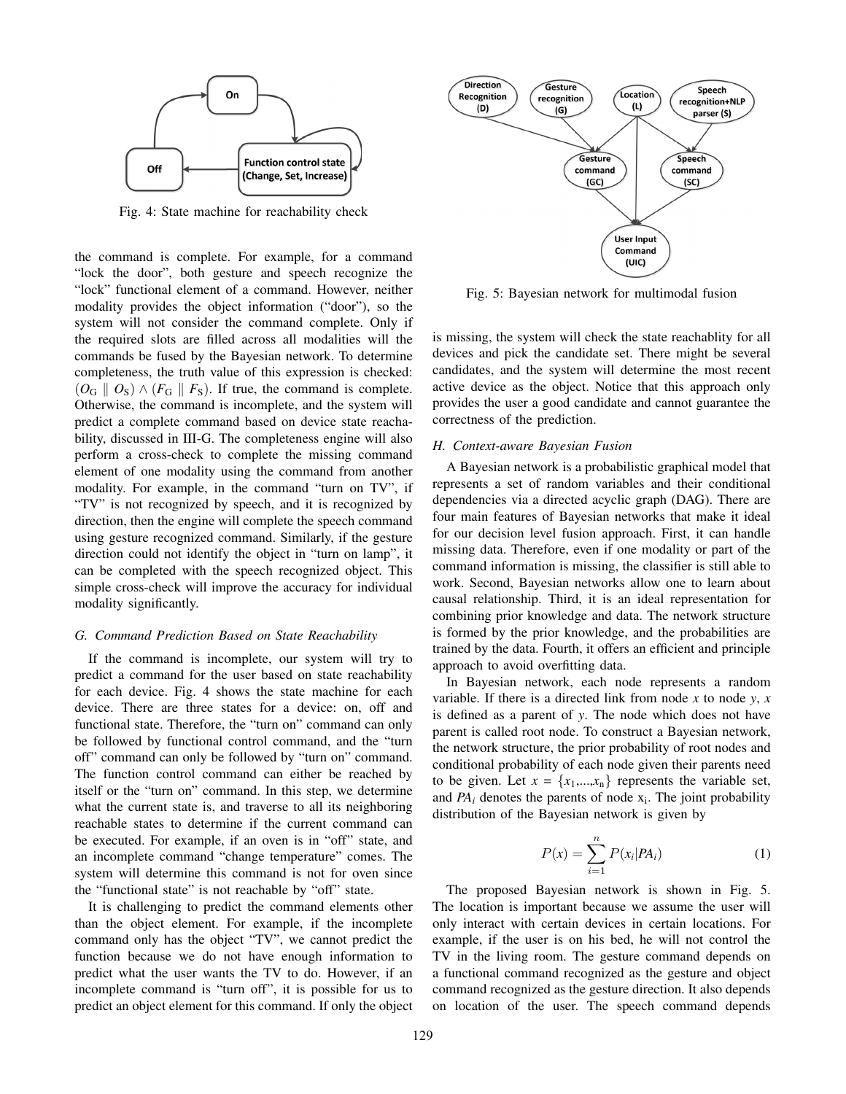

Fig. 4: State machine for reachability check

the command is complete. For example, for a command "lock the door", both gesture and speech recognize the "lock" functional element of a command. However, neither modality provides the object information ("door"), so the system will not consider the command complete. Only if the required slots are filled across all modalities will the commands be fused by the Bayesian network. To determine completeness, the truth value of this expression is checked:  $(O_G \parallel O_S) \wedge (F_G \parallel F_S)$ . If true, the command is complete. Otherwise, the command is incomplete, and the system will predict a complete command based on device state reachability, discussed in III-G. The completeness engine will also perform a cross-check to complete the missing command element of one modality using the command from another modality. For example, in the command "turn on TV", if "TV" is not recognized by speech, and it is recognized by direction, then the engine will complete the speech command using gesture recognized command. Similarly, if the gesture direction could not identify the object in "turn on lamp", it can be completed with the speech recognized object. This simple cross-check will improve the accuracy for individual modality significantly.

## *G. Command Prediction Based on State Reachability*

If the command is incomplete, our system will try to predict a command for the user based on state reachability for each device. Fig. 4 shows the state machine for each device. There are three states for a device: on, off and functional state. Therefore, the "turn on" command can only be followed by functional control command, and the "turn off" command can only be followed by "turn on" command. The function control command can either be reached by itself or the "turn on" command. In this step, we determine what the current state is, and traverse to all its neighboring reachable states to determine if the current command can be executed. For example, if an oven is in "off" state, and an incomplete command "change temperature" comes. The system will determine this command is not for oven since the "functional state" is not reachable by "off" state.

It is challenging to predict the command elements other than the object element. For example, if the incomplete command only has the object "TV", we cannot predict the function because we do not have enough information to predict what the user wants the TV to do. However, if an incomplete command is "turn off", it is possible for us to predict an object element for this command. If only the object



Fig. 5: Bayesian network for multimodal fusion

is missing, the system will check the state reachablity for all devices and pick the candidate set. There might be several candidates, and the system will determine the most recent active device as the object. Notice that this approach only provides the user a good candidate and cannot guarantee the correctness of the prediction.

## *H. Context-aware Bayesian Fusion*

A Bayesian network is a probabilistic graphical model that represents a set of random variables and their conditional dependencies via a directed acyclic graph (DAG). There are four main features of Bayesian networks that make it ideal for our decision level fusion approach. First, it can handle missing data. Therefore, even if one modality or part of the command information is missing, the classifier is still able to work. Second, Bayesian networks allow one to learn about causal relationship. Third, it is an ideal representation for combining prior knowledge and data. The network structure is formed by the prior knowledge, and the probabilities are trained by the data. Fourth, it offers an efficient and principle approach to avoid overfitting data.

In Bayesian network, each node represents a random variable. If there is a directed link from node *x* to node *y*, *x* is defined as a parent of *y*. The node which does not have parent is called root node. To construct a Bayesian network, the network structure, the prior probability of root nodes and conditional probability of each node given their parents need to be given. Let  $x = \{x_1,...,x_n\}$  represents the variable set, and  $PA_i$  denotes the parents of node  $x_i$ . The joint probability distribution of the Bayesian network is given by

$$
P(x) = \sum_{i=1}^{n} P(x_i | PA_i)
$$
 (1)

The proposed Bayesian network is shown in Fig. 5. The location is important because we assume the user will only interact with certain devices in certain locations. For example, if the user is on his bed, he will not control the TV in the living room. The gesture command depends on a functional command recognized as the gesture and object command recognized as the gesture direction. It also depends on location of the user. The speech command depends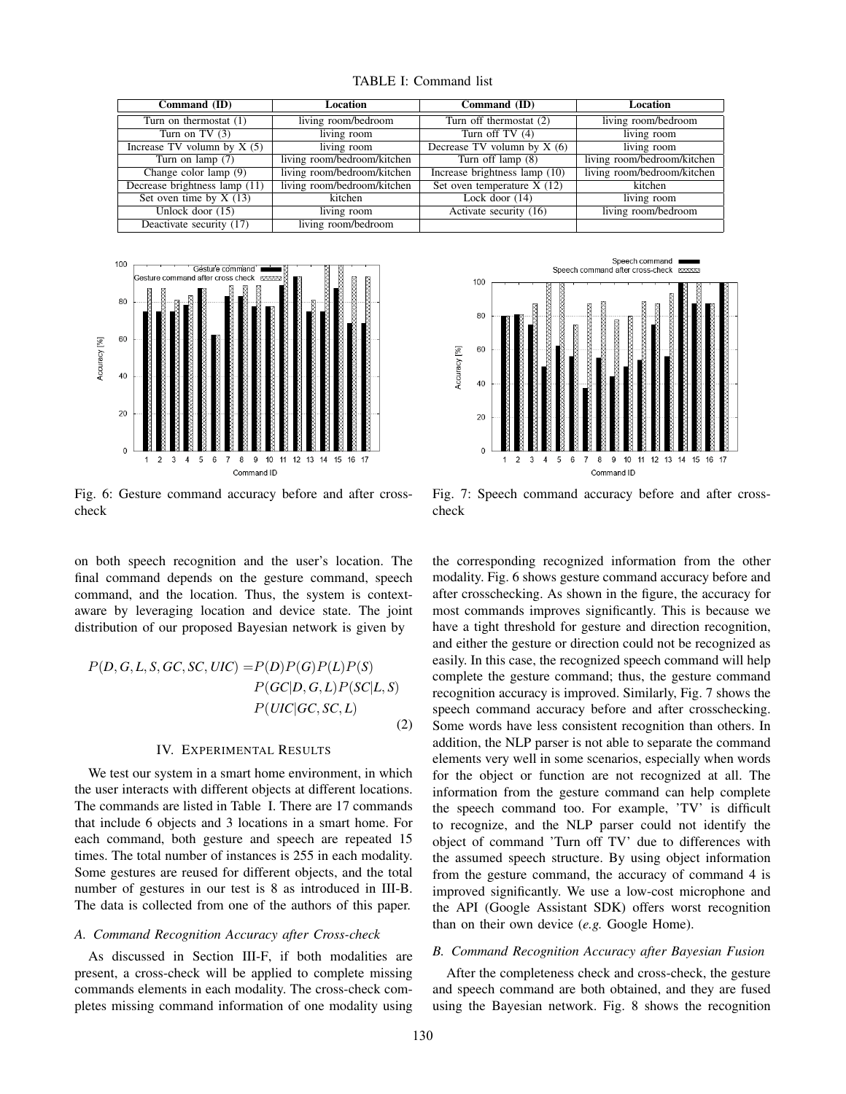| Command (ID)                              | Location                    | Command (ID)                  | Location                    |  |
|-------------------------------------------|-----------------------------|-------------------------------|-----------------------------|--|
| Turn on thermostat $(1)$                  | living room/bedroom         | Turn off thermostat (2)       | living room/bedroom         |  |
| Turn on $TV(3)$                           | living room                 | Turn off TV $(4)$             | living room                 |  |
| Increase TV volumn by $X(5)$              | living room                 | Decrease TV volumn by $X(6)$  | living room                 |  |
| Turn on $\lambda$ 1 amp (7)               | living room/bedroom/kitchen | Turn off $\lambda$ lamp (8)   | living room/bedroom/kitchen |  |
| Change color $\overline{\text{ lamp}}(9)$ | living room/bedroom/kitchen | Increase brightness lamp (10) | living room/bedroom/kitchen |  |
| Decrease brightness lamp (11)             | living room/bedroom/kitchen | Set oven temperature $X(12)$  | kitchen                     |  |
| Set oven time by $X(13)$                  | kitchen                     | Lock door $(14)$              | living room                 |  |
| Unlock door $(15)$                        | living room                 | Activate security (16)        | living room/bedroom         |  |
| Deactivate security (17)                  | living room/bedroom         |                               |                             |  |

TABLE I: Command list



Fig. 6: Gesture command accuracy before and after crosscheck

on both speech recognition and the user's location. The final command depends on the gesture command, speech command, and the location. Thus, the system is contextaware by leveraging location and device state. The joint distribution of our proposed Bayesian network is given by

$$
P(D, G, L, S, GC, SC, UIC) = P(D)P(G)P(L)P(S)
$$

$$
P(GC|D, G, L)P(SC|L, S)
$$

$$
P(UIC|GC, SC, L)
$$
(2)

## IV. EXPERIMENTAL RESULTS

We test our system in a smart home environment, in which the user interacts with different objects at different locations. The commands are listed in Table I. There are 17 commands that include 6 objects and 3 locations in a smart home. For each command, both gesture and speech are repeated 15 times. The total number of instances is 255 in each modality. Some gestures are reused for different objects, and the total number of gestures in our test is 8 as introduced in III-B. The data is collected from one of the authors of this paper.

## *A. Command Recognition Accuracy after Cross-check*

As discussed in Section III-F, if both modalities are present, a cross-check will be applied to complete missing commands elements in each modality. The cross-check completes missing command information of one modality using



Fig. 7: Speech command accuracy before and after crosscheck

the corresponding recognized information from the other modality. Fig. 6 shows gesture command accuracy before and after crosschecking. As shown in the figure, the accuracy for most commands improves significantly. This is because we have a tight threshold for gesture and direction recognition, and either the gesture or direction could not be recognized as easily. In this case, the recognized speech command will help complete the gesture command; thus, the gesture command recognition accuracy is improved. Similarly, Fig. 7 shows the speech command accuracy before and after crosschecking. Some words have less consistent recognition than others. In addition, the NLP parser is not able to separate the command elements very well in some scenarios, especially when words for the object or function are not recognized at all. The information from the gesture command can help complete the speech command too. For example, 'TV' is difficult to recognize, and the NLP parser could not identify the object of command 'Turn off TV' due to differences with the assumed speech structure. By using object information from the gesture command, the accuracy of command 4 is improved significantly. We use a low-cost microphone and the API (Google Assistant SDK) offers worst recognition than on their own device (*e.g.* Google Home).

#### *B. Command Recognition Accuracy after Bayesian Fusion*

After the completeness check and cross-check, the gesture and speech command are both obtained, and they are fused using the Bayesian network. Fig. 8 shows the recognition